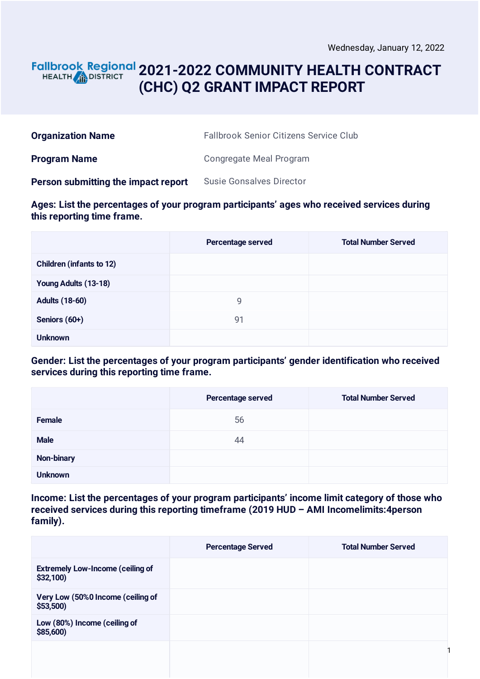#### **2021-2022 COMMUNITY HEALTH CONTRACT** HEALTH **in DISTRICT (CHC) Q2 GRANT IMPACT REPORT**

| <b>Organization Name</b>            | <b>Fallbrook Senior Citizens Service Club</b> |
|-------------------------------------|-----------------------------------------------|
| <b>Program Name</b>                 | Congregate Meal Program                       |
| Person submitting the impact report | <b>Susie Gonsalves Director</b>               |

**Ages: List the percentages of your program participants' ages who received services during this reporting time frame.**

|                                 | Percentage served | <b>Total Number Served</b> |
|---------------------------------|-------------------|----------------------------|
| <b>Children (infants to 12)</b> |                   |                            |
| Young Adults (13-18)            |                   |                            |
| <b>Adults (18-60)</b>           | 9                 |                            |
| Seniors (60+)                   | 91                |                            |
| <b>Unknown</b>                  |                   |                            |

**Gender: List the percentages of your program participants' gender identification who received services during this reporting time frame.**

|                | Percentage served | <b>Total Number Served</b> |
|----------------|-------------------|----------------------------|
| Female         | 56                |                            |
| <b>Male</b>    | 44                |                            |
| Non-binary     |                   |                            |
| <b>Unknown</b> |                   |                            |

**Income: List the percentages of your program participants' income limit category of those who received services during this reporting timeframe (2019 HUD – AMI Incomelimits:4person family).**

|                                                     | <b>Percentage Served</b> | <b>Total Number Served</b> |
|-----------------------------------------------------|--------------------------|----------------------------|
| <b>Extremely Low-Income (ceiling of</b><br>\$32,100 |                          |                            |
| Very Low (50%0 Income (ceiling of<br>\$53,500       |                          |                            |
| Low (80%) Income (ceiling of<br>\$85,600)           |                          |                            |
|                                                     |                          |                            |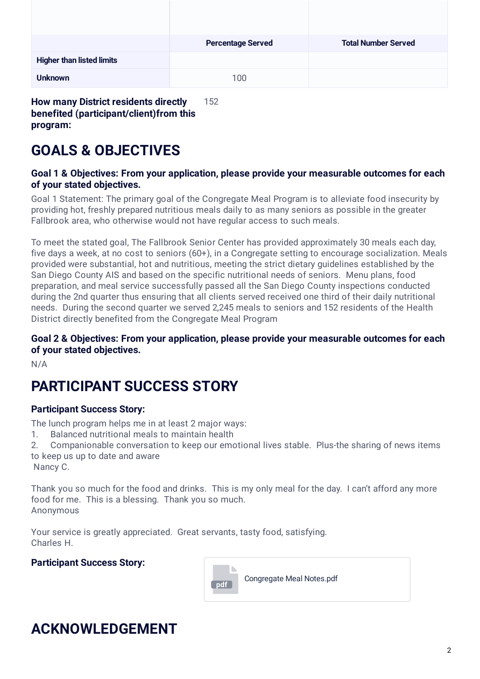|                                  | <b>Percentage Served</b> | <b>Total Number Served</b> |
|----------------------------------|--------------------------|----------------------------|
| <b>Higher than listed limits</b> |                          |                            |
| <b>Unknown</b>                   | 100                      |                            |

**How many District residents directly benefited (participant/client)from this program:** 152

# **GOALS & OBJECTIVES**

#### **Goal 1 & Objectives: From your application, please provide your measurable outcomes for each of your stated objectives.**

Goal 1 Statement: The primary goal of the Congregate Meal Program is to alleviate food insecurity by providing hot, freshly prepared nutritious meals daily to as many seniors as possible in the greater Fallbrook area, who otherwise would not have regular access to such meals.

To meet the stated goal, The Fallbrook Senior Center has provided approximately 30 meals each day, five days a week, at no cost to seniors (60+), in a Congregate setting to encourage socialization. Meals provided were substantial, hot and nutritious, meeting the strict dietary guidelines established by the San Diego County AIS and based on the specific nutritional needs of seniors. Menu plans, food preparation, and meal service successfully passed all the San Diego County inspections conducted during the 2nd quarter thus ensuring that all clients served received one third of their daily nutritional needs. During the second quarter we served 2,245 meals to seniors and 152 residents of the Health District directly benefited from the Congregate Meal Program

#### **Goal 2 & Objectives: From your application, please provide your measurable outcomes for each of your stated objectives.**

N/A

# **PARTICIPANT SUCCESS STORY**

#### **Participant Success Story:**

The lunch program helps me in at least 2 major ways:

1. Balanced nutritional meals to maintain health

2. Companionable conversation to keep our emotional lives stable. Plus-the sharing of news items to keep us up to date and aware

Nancy C.

Thank you so much for the food and drinks. This is my only meal for the day. I can't afford any more food for me. This is a blessing. Thank you so much. Anonymous

Your service is greatly appreciated. Great servants, tasty food, satisfying. Charles H.

#### **Participant Success Story:**



# **ACKNOWLEDGEMENT**